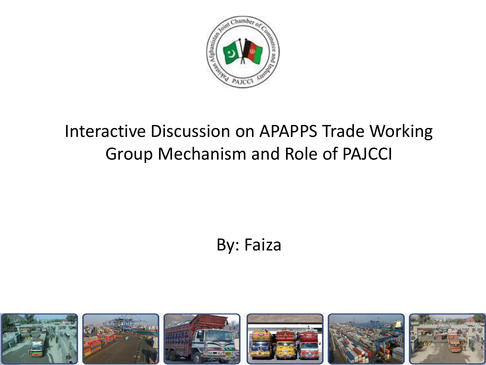

#### Interactive Discussion on APAPPS Trade Working Group Mechanism and Role of PAJCCI

#### By: Faiza

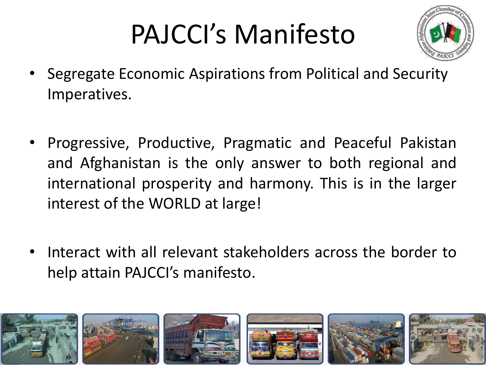# PAJCCI's Manifesto



- Segregate Economic Aspirations from Political and Security Imperatives.
- Progressive, Productive, Pragmatic and Peaceful Pakistan and Afghanistan is the only answer to both regional and international prosperity and harmony. This is in the larger interest of the WORLD at large!
- Interact with all relevant stakeholders across the border to help attain PAJCCI's manifesto.

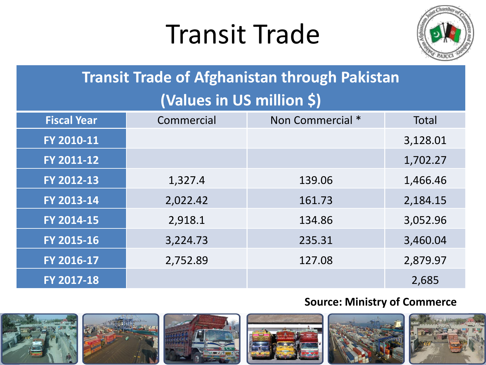## Transit Trade



#### **Transit Trade of Afghanistan through Pakistan**

#### **(Values in US million \$)**

| <b>Fiscal Year</b> | Commercial | Non Commercial * | <b>Total</b> |
|--------------------|------------|------------------|--------------|
| FY 2010-11         |            |                  | 3,128.01     |
| FY 2011-12         |            |                  | 1,702.27     |
| FY 2012-13         | 1,327.4    | 139.06           | 1,466.46     |
| FY 2013-14         | 2,022.42   | 161.73           | 2,184.15     |
| FY 2014-15         | 2,918.1    | 134.86           | 3,052.96     |
| FY 2015-16         | 3,224.73   | 235.31           | 3,460.04     |
| FY 2016-17         | 2,752.89   | 127.08           | 2,879.97     |
| FY 2017-18         |            |                  | 2,685        |

#### **Source: Ministry of Commerce**

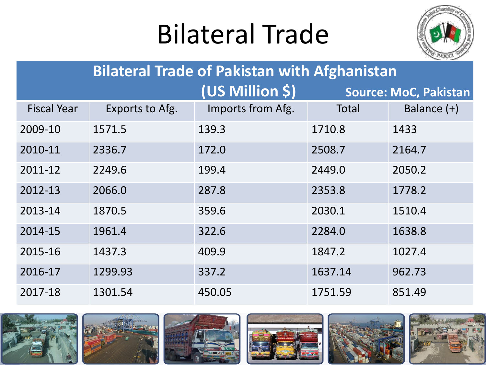## Bilateral Trade



| <b>Bilateral Trade of Pakistan with Afghanistan</b> |                 |                   |         |                              |  |
|-----------------------------------------------------|-----------------|-------------------|---------|------------------------------|--|
|                                                     |                 | (US Million \$)   |         | <b>Source: MoC, Pakistan</b> |  |
| <b>Fiscal Year</b>                                  | Exports to Afg. | Imports from Afg. | Total   | Balance $(+)$                |  |
| 2009-10                                             | 1571.5          | 139.3             | 1710.8  | 1433                         |  |
| 2010-11                                             | 2336.7          | 172.0             | 2508.7  | 2164.7                       |  |
| 2011-12                                             | 2249.6          | 199.4             | 2449.0  | 2050.2                       |  |
| 2012-13                                             | 2066.0          | 287.8             | 2353.8  | 1778.2                       |  |
| 2013-14                                             | 1870.5          | 359.6             | 2030.1  | 1510.4                       |  |
| 2014-15                                             | 1961.4          | 322.6             | 2284.0  | 1638.8                       |  |
| 2015-16                                             | 1437.3          | 409.9             | 1847.2  | 1027.4                       |  |
| 2016-17                                             | 1299.93         | 337.2             | 1637.14 | 962.73                       |  |
| 2017-18                                             | 1301.54         | 450.05            | 1751.59 | 851.49                       |  |

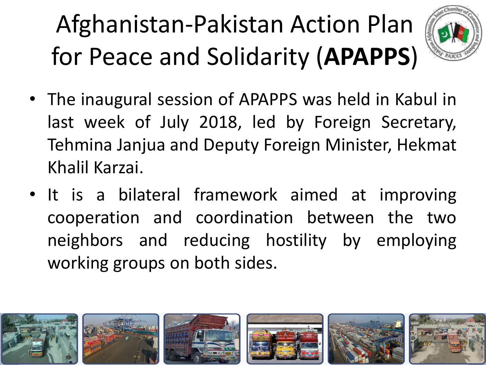## Afghanistan-Pakistan Action Plan for Peace and Solidarity (**APAPPS**)



- The inaugural session of APAPPS was held in Kabul in last week of July 2018, led by Foreign Secretary, Tehmina Janjua and Deputy Foreign Minister, Hekmat Khalil Karzai.
- It is a bilateral framework aimed at improving cooperation and coordination between the two neighbors and reducing hostility by employing working groups on both sides.

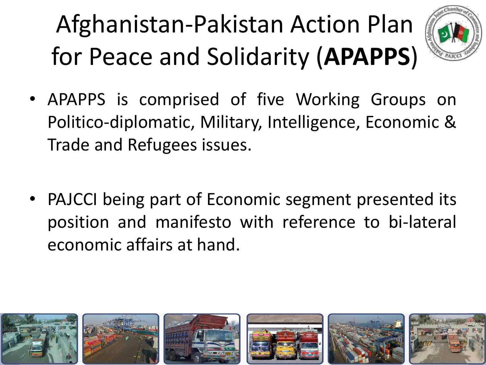## Afghanistan-Pakistan Action Plan for Peace and Solidarity (**APAPPS**)



- APAPPS is comprised of five Working Groups on Politico-diplomatic, Military, Intelligence, Economic & Trade and Refugees issues.
- PAJCCI being part of Economic segment presented its position and manifesto with reference to bi-lateral economic affairs at hand.

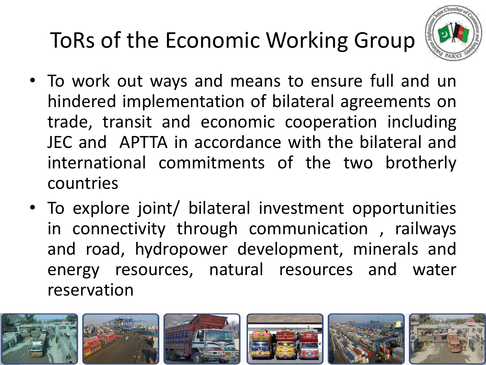## ToRs of the Economic Working Group



- To work out ways and means to ensure full and un hindered implementation of bilateral agreements on trade, transit and economic cooperation including JEC and APTTA in accordance with the bilateral and international commitments of the two brotherly countries
- To explore joint/ bilateral investment opportunities in connectivity through communication , railways and road, hydropower development, minerals and energy resources, natural resources and water reservation

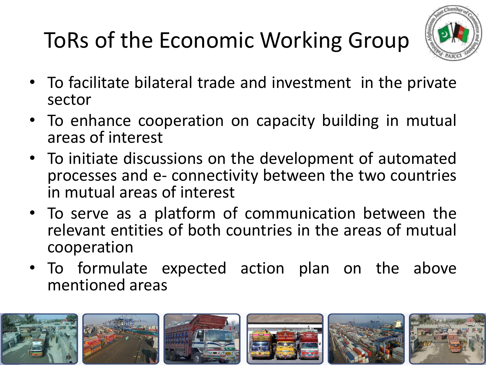## ToRs of the Economic Working Group



- To facilitate bilateral trade and investment in the private sector
- To enhance cooperation on capacity building in mutual areas of interest
- To initiate discussions on the development of automated processes and e- connectivity between the two countries in mutual areas of interest
- To serve as a platform of communication between the relevant entities of both countries in the areas of mutual cooperation
- To formulate expected action plan on the above mentioned areas

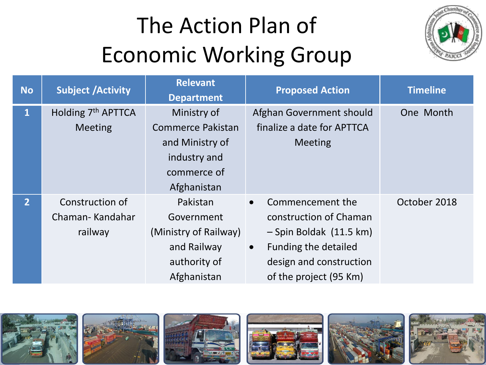

| <b>No</b>      | <b>Subject /Activity</b>       | <b>Relevant</b><br><b>Department</b> | <b>Proposed Action</b>            | <b>Timeline</b> |
|----------------|--------------------------------|--------------------------------------|-----------------------------------|-----------------|
| $\mathbf{1}$   | Holding 7 <sup>th</sup> APTTCA | Ministry of                          | Afghan Government should          | One Month       |
|                | <b>Meeting</b>                 | <b>Commerce Pakistan</b>             | finalize a date for APTTCA        |                 |
|                |                                | and Ministry of                      | Meeting                           |                 |
|                |                                | industry and                         |                                   |                 |
|                |                                | commerce of                          |                                   |                 |
|                |                                | Afghanistan                          |                                   |                 |
| 2 <sup>1</sup> | Construction of                | Pakistan                             | Commencement the<br>$\bullet$     | October 2018    |
|                | Chaman-Kandahar                | Government                           | construction of Chaman            |                 |
|                | railway                        | (Ministry of Railway)                | - Spin Boldak (11.5 km)           |                 |
|                |                                | and Railway                          | Funding the detailed<br>$\bullet$ |                 |
|                |                                | authority of                         | design and construction           |                 |
|                |                                | Afghanistan                          | of the project (95 Km)            |                 |

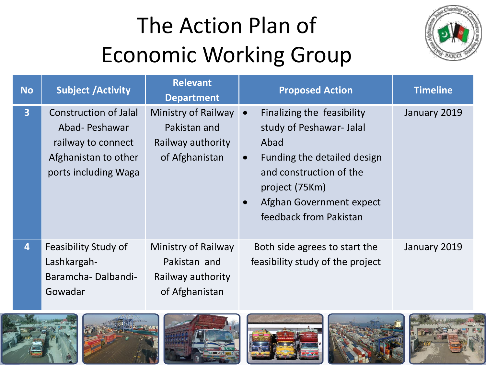

| <b>No</b>      | <b>Subject /Activity</b>                                                                                            | <b>Relevant</b><br><b>Department</b>                                       | <b>Proposed Action</b>                                                                                                                                                                                                                  | <b>Timeline</b> |
|----------------|---------------------------------------------------------------------------------------------------------------------|----------------------------------------------------------------------------|-----------------------------------------------------------------------------------------------------------------------------------------------------------------------------------------------------------------------------------------|-----------------|
| $\overline{3}$ | <b>Construction of Jalal</b><br>Abad-Peshawar<br>railway to connect<br>Afghanistan to other<br>ports including Waga | Ministry of Railway<br>Pakistan and<br>Railway authority<br>of Afghanistan | Finalizing the feasibility<br>$\bullet$<br>study of Peshawar- Jalal<br>Abad<br>Funding the detailed design<br>$\bullet$<br>and construction of the<br>project (75Km)<br>Afghan Government expect<br>$\bullet$<br>feedback from Pakistan | January 2019    |
| $\overline{4}$ | Feasibility Study of<br>Lashkargah-<br>Baramcha-Dalbandi-<br>Gowadar                                                | Ministry of Railway<br>Pakistan and<br>Railway authority<br>of Afghanistan | Both side agrees to start the<br>feasibility study of the project                                                                                                                                                                       | January 2019    |











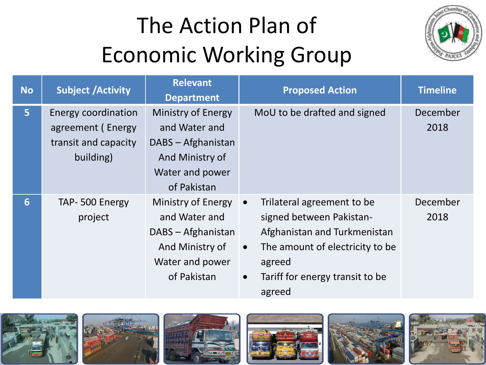

| <b>No</b>      | <b>Subject /Activity</b>                                                      | <b>Relevant</b><br><b>Department</b>                                                                           | <b>Proposed Action</b>                                                                                                                                                                                                  | <b>Timeline</b>  |
|----------------|-------------------------------------------------------------------------------|----------------------------------------------------------------------------------------------------------------|-------------------------------------------------------------------------------------------------------------------------------------------------------------------------------------------------------------------------|------------------|
| 5 <sup>1</sup> | Energy coordination<br>agreement (Energy<br>transit and capacity<br>building) | Ministry of Energy<br>and Water and<br>DABS - Afghanistan<br>And Ministry of<br>Water and power<br>of Pakistan | MoU to be drafted and signed                                                                                                                                                                                            | December<br>2018 |
| 6              | TAP-500 Energy<br>project                                                     | Ministry of Energy<br>and Water and<br>DABS - Afghanistan<br>And Ministry of<br>Water and power<br>of Pakistan | Trilateral agreement to be<br>$\bullet$<br>signed between Pakistan-<br>Afghanistan and Turkmenistan<br>The amount of electricity to be<br>$\bullet$<br>agreed<br>Tariff for energy transit to be<br>$\bullet$<br>agreed | December<br>2018 |











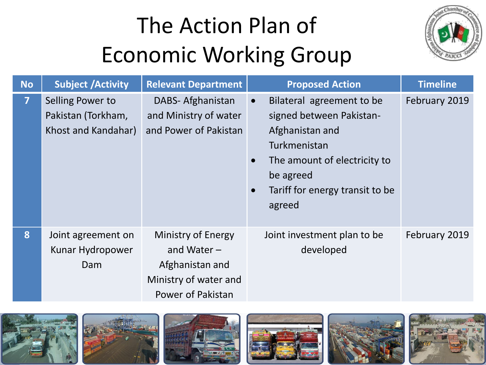

| <b>No</b>      | <b>Subject /Activity</b>                                      | <b>Relevant Department</b>                                                                           | <b>Proposed Action</b>                                                                                                                                                                          | <b>Timeline</b> |
|----------------|---------------------------------------------------------------|------------------------------------------------------------------------------------------------------|-------------------------------------------------------------------------------------------------------------------------------------------------------------------------------------------------|-----------------|
| $\overline{7}$ | Selling Power to<br>Pakistan (Torkham,<br>Khost and Kandahar) | DABS- Afghanistan<br>and Ministry of water<br>and Power of Pakistan                                  | Bilateral agreement to be<br>$\bullet$<br>signed between Pakistan-<br>Afghanistan and<br>Turkmenistan<br>The amount of electricity to<br>be agreed<br>Tariff for energy transit to be<br>agreed | February 2019   |
| 8              | Joint agreement on<br>Kunar Hydropower<br>Dam                 | Ministry of Energy<br>and Water $-$<br>Afghanistan and<br>Ministry of water and<br>Power of Pakistan | Joint investment plan to be<br>developed                                                                                                                                                        | February 2019   |

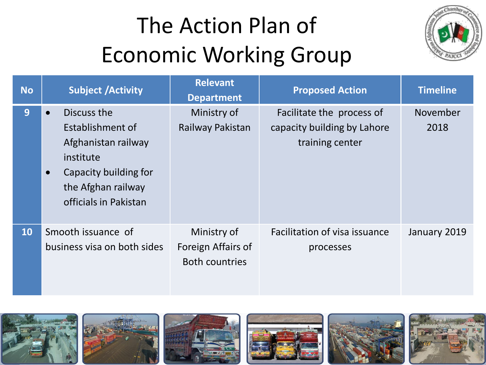

| <b>No</b> | <b>Subject /Activity</b>                                                                                                                                 | <b>Relevant</b><br><b>Department</b>                       | <b>Proposed Action</b>                                                      | <b>Timeline</b>  |
|-----------|----------------------------------------------------------------------------------------------------------------------------------------------------------|------------------------------------------------------------|-----------------------------------------------------------------------------|------------------|
| 9         | Discuss the<br>Establishment of<br>Afghanistan railway<br>institute<br>Capacity building for<br>$\bullet$<br>the Afghan railway<br>officials in Pakistan | Ministry of<br>Railway Pakistan                            | Facilitate the process of<br>capacity building by Lahore<br>training center | November<br>2018 |
| 10        | Smooth issuance of<br>business visa on both sides                                                                                                        | Ministry of<br>Foreign Affairs of<br><b>Both countries</b> | Facilitation of visa issuance<br>processes                                  | January 2019     |

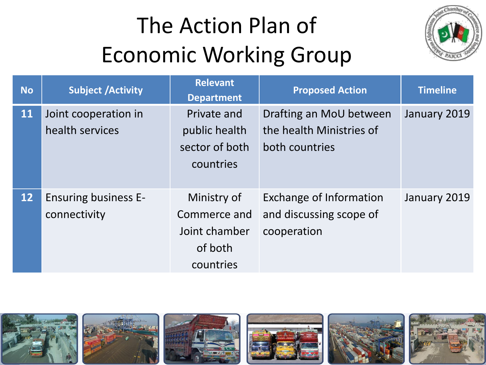

| <b>No</b>       | <b>Subject /Activity</b>    | <b>Relevant</b><br><b>Department</b> | <b>Proposed Action</b>   | <b>Timeline</b> |
|-----------------|-----------------------------|--------------------------------------|--------------------------|-----------------|
| <b>11</b>       | Joint cooperation in        | Private and                          | Drafting an MoU between  | January 2019    |
|                 | health services             | public health                        | the health Ministries of |                 |
|                 |                             | sector of both                       | both countries           |                 |
|                 |                             | countries                            |                          |                 |
|                 |                             |                                      |                          |                 |
| 12 <sup>°</sup> | <b>Ensuring business E-</b> | Ministry of                          | Exchange of Information  | January 2019    |
|                 | connectivity                | Commerce and                         | and discussing scope of  |                 |
|                 |                             | Joint chamber                        | cooperation              |                 |
|                 |                             | of both                              |                          |                 |
|                 |                             | countries                            |                          |                 |